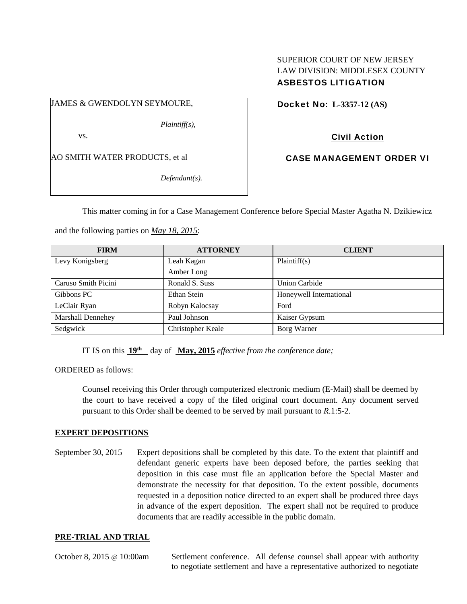## SUPERIOR COURT OF NEW JERSEY LAW DIVISION: MIDDLESEX COUNTY ASBESTOS LITIGATION

JAMES & GWENDOLYN SEYMOURE,

*Plaintiff(s),* 

vs.

AO SMITH WATER PRODUCTS, et al

*Defendant(s).* 

Docket No: **L-3357-12 (AS)** 

Civil Action

CASE MANAGEMENT ORDER VI

This matter coming in for a Case Management Conference before Special Master Agatha N. Dzikiewicz

and the following parties on *May 18, 2015*:

| <b>FIRM</b>              | <b>ATTORNEY</b>   | <b>CLIENT</b>           |
|--------------------------|-------------------|-------------------------|
| Levy Konigsberg          | Leah Kagan        | Plaintiff(s)            |
|                          | Amber Long        |                         |
| Caruso Smith Picini      | Ronald S. Suss    | <b>Union Carbide</b>    |
| Gibbons PC               | Ethan Stein       | Honeywell International |
| LeClair Ryan             | Robyn Kalocsay    | Ford                    |
| <b>Marshall Dennehey</b> | Paul Johnson      | Kaiser Gypsum           |
| Sedgwick                 | Christopher Keale | Borg Warner             |

IT IS on this  $19^{th}$  day of May, 2015 *effective from the conference date*;

ORDERED as follows:

Counsel receiving this Order through computerized electronic medium (E-Mail) shall be deemed by the court to have received a copy of the filed original court document. Any document served pursuant to this Order shall be deemed to be served by mail pursuant to *R*.1:5-2.

## **EXPERT DEPOSITIONS**

September 30, 2015 Expert depositions shall be completed by this date. To the extent that plaintiff and defendant generic experts have been deposed before, the parties seeking that deposition in this case must file an application before the Special Master and demonstrate the necessity for that deposition. To the extent possible, documents requested in a deposition notice directed to an expert shall be produced three days in advance of the expert deposition. The expert shall not be required to produce documents that are readily accessible in the public domain.

## **PRE-TRIAL AND TRIAL**

October 8, 2015 @ 10:00am Settlement conference. All defense counsel shall appear with authority to negotiate settlement and have a representative authorized to negotiate